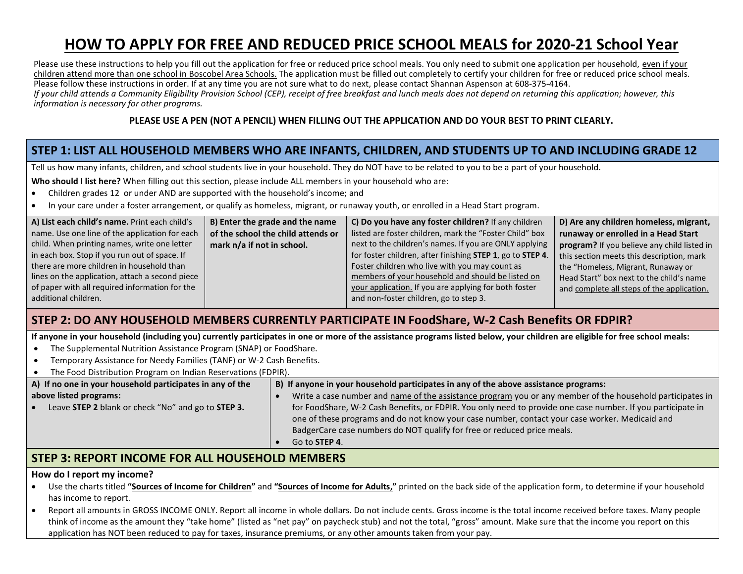# **HOW TO APPLY FOR FREE AND REDUCED PRICE SCHOOL MEALS for 2020-21 School Year**

Please use these instructions to help you fill out the application for free or reduced price school meals. You only need to submit one application per household, even if your children attend more than one school in Boscobel Area Schools. The application must be filled out completely to certify your children for free or reduced price school meals. Please follow these instructions in order. If at any time you are not sure what to do next, please contact Shannan Aspenson at 608-375-4164. *If your child attends a Community Eligibility Provision School (CEP), receipt of free breakfast and lunch meals does not depend on returning this application; however, this information is necessary for other programs.*

#### **PLEASE USE A PEN (NOT A PENCIL) WHEN FILLING OUT THE APPLICATION AND DO YOUR BEST TO PRINT CLEARLY.**

## **STEP 1: LIST ALL HOUSEHOLD MEMBERS WHO ARE INFANTS, CHILDREN, AND STUDENTS UP TO AND INCLUDING GRADE 12**

Tell us how many infants, children, and school students live in your household. They do NOT have to be related to you to be a part of your household.

**Who should I list here?** When filling out this section, please include ALL members in your household who are:

- Children grades 12 or under AND are supported with the household's income; and
- In your care under a foster arrangement, or qualify as homeless, migrant, or runaway youth, or enrolled in a Head Start program.

| A) List each child's name. Print each child's   | B) Enter the grade and the name    | C) Do you have any foster children? If any children        | D) Are any children homeless, migrant,      |
|-------------------------------------------------|------------------------------------|------------------------------------------------------------|---------------------------------------------|
| name. Use one line of the application for each  | of the school the child attends or | listed are foster children, mark the "Foster Child" box    | runaway or enrolled in a Head Start         |
| child. When printing names, write one letter    | mark n/a if not in school.         | next to the children's names. If you are ONLY applying     | program? If you believe any child listed in |
| in each box. Stop if you run out of space. If   |                                    | for foster children, after finishing STEP 1, go to STEP 4. | this section meets this description, mark   |
| there are more children in household than       |                                    | Foster children who live with you may count as             | the "Homeless, Migrant, Runaway or          |
| lines on the application, attach a second piece |                                    | members of your household and should be listed on          | Head Start" box next to the child's name    |
| of paper with all required information for the  |                                    | your application. If you are applying for both foster      | and complete all steps of the application.  |
| additional children.                            |                                    | and non-foster children, go to step 3.                     |                                             |

### **STEP 2: DO ANY HOUSEHOLD MEMBERS CURRENTLY PARTICIPATE IN FoodShare, W-2 Cash Benefits OR FDPIR?**

**If anyone in your household (including you) currently participates in one or more of the assistance programs listed below, your children are eligible for free school meals:**

- The Supplemental Nutrition Assistance Program (SNAP) or FoodShare.
- Temporary Assistance for Needy Families (TANF) or W-2 Cash Benefits.
- The Food Distribution Program on Indian Reservations (FDPIR).

| A) If no one in your household participates in any of the       | B) If anyone in your household participates in any of the above assistance programs:                                                                                                                                                                                                     |
|-----------------------------------------------------------------|------------------------------------------------------------------------------------------------------------------------------------------------------------------------------------------------------------------------------------------------------------------------------------------|
| above listed programs:                                          | Write a case number and name of the assistance program you or any member of the household participates in                                                                                                                                                                                |
| Leave STEP 2 blank or check "No" and go to STEP 3.<br>$\bullet$ | for FoodShare, W-2 Cash Benefits, or FDPIR. You only need to provide one case number. If you participate in<br>one of these programs and do not know your case number, contact your case worker. Medicaid and<br>BadgerCare case numbers do NOT qualify for free or reduced price meals. |
|                                                                 | Go to <b>STEP 4</b> .                                                                                                                                                                                                                                                                    |

### **STEP 3: REPORT INCOME FOR ALL HOUSEHOLD MEMBERS**

#### **How do I report my income?**

- Use the charts titled **"Sources of Income for Children"** and **"Sources of Income for Adults,"** printed on the back side of the application form, to determine if your household has income to report.
- Report all amounts in GROSS INCOME ONLY. Report all income in whole dollars. Do not include cents. Gross income is the total income received before taxes. Many people think of income as the amount they "take home" (listed as "net pay" on paycheck stub) and not the total, "gross" amount. Make sure that the income you report on this application has NOT been reduced to pay for taxes, insurance premiums, or any other amounts taken from your pay.